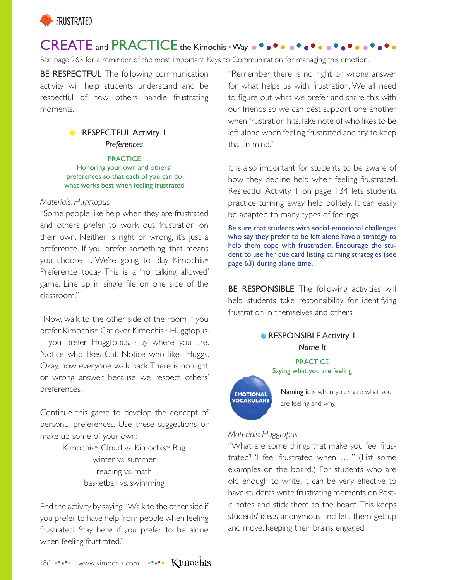

# CREATE and PRACTICE the Kimochis™ Way

See page 263 for a reminder of the most important Keys to Communication for managing this emotion.

BE RESPECTFUL The following communication activity will help students understand and be respectful of how others handle frustrating moments.

#### RESPECTFUL Activity 1  $\bullet$ *Preferences*

**PRACTICE** Honoring your own and others' preferences so that each of you can do what works best when feeling frustrated

#### *Materials: Huggtopus*

"Some people like help when they are frustrated and others prefer to work out frustration on their own. Neither is right or wrong, it's just a preference. If you prefer something, that means you choose it. We're going to play Kimochis™ Preference today. This is a 'no talking allowed' game. Line up in single file on one side of the classroom."

"Now, walk to the other side of the room if you prefer Kimochis™ Cat over Kimochis™ Huggtopus. If you prefer Huggtopus, stay where you are. Notice who likes Cat. Notice who likes Huggs. Okay, now everyone walk back. There is no right or wrong answer because we respect others' preferences."

Continue this game to develop the concept of personal preferences. Use these suggestions or make up some of your own:

> Kimochis™ Cloud vs. Kimochis™ Bug winter vs. summer reading vs. math basketball vs. swimming

End the activity by saying, "Walk to the other side if you prefer to have help from people when feeling frustrated. Stay here if you prefer to be alone when feeling frustrated."

"Remember there is no right or wrong answer for what helps us with frustration. We all need to figure out what we prefer and share this with our friends so we can best support one another when frustration hits. Take note of who likes to be left alone when feeling frustrated and try to keep that in mind."

It is also important for students to be aware of how they decline help when feeling frustrated. Resfectful Activity 1 on page 134 lets students practice turning away help politely. It can easily be adapted to many types of feelings.

Be sure that students with social-emotional challenges who say they prefer to be left alone have a strategy to help them cope with frustration. Encourage the student to use her cue card listing calming strategies (see page 63) during alone time.

BE RESPONSIBLE The following activities will help students take responsibility for identifying frustration in themselves and others.



**EMOTIONAL VOCABULARY** 

Naming it is when you share what you are feeling and why.

#### *Materials: Huggtopus*

"What are some things that make you feel frustrated? 'I feel frustrated when …'" (List some examples on the board.) For students who are old enough to write, it can be very effective to have students write frustrating moments on Postit notes and stick them to the board. This keeps students' ideas anonymous and lets them get up and move, keeping their brains engaged.